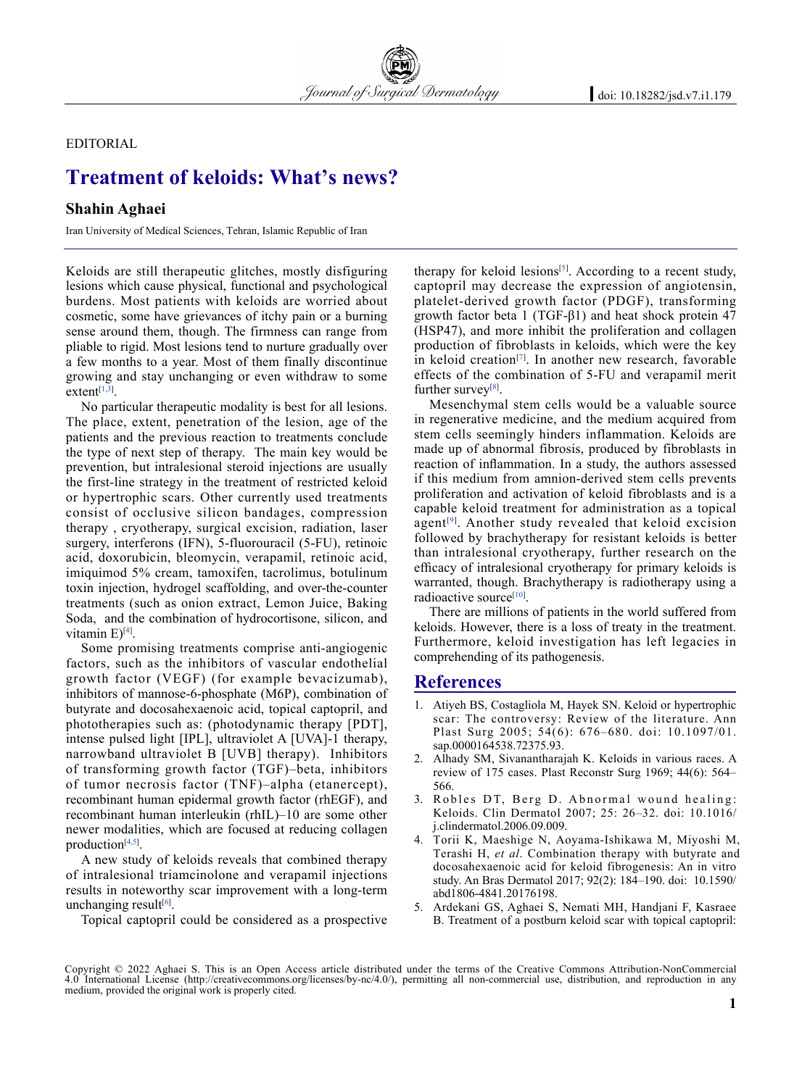**EDITORIAL** 

## **Treatment of keloids: What's news?**

## **Shahin Aghaei**

Iran University of Medical Sciences, Tehran, Islamic Republic of Iran

Keloids are still therapeutic glitches, mostly disfiguring lesions which cause physical, functional and psychological burdens. Most patients with keloids are worried about cosmetic, some have grievances of itchy pain or a burning sense around them, though. The firmness can range from pliable to rigid. Most lesions tend to nurture gradually over a few months to a year. Most of them finally discontinue growing and stay unchanging or even withdraw to some  $extent^{[1,3]}$ .

No particular therapeutic modality is best for all lesions. The place, extent, penetration of the lesion, age of the patients and the previous reaction to treatments conclude the type of next step of therapy. The main key would be prevention, but intralesional steroid injections are usually the first-line strategy in the treatment of restricted keloid or hypertrophic scars. Other currently used treatments consist of occlusive silicon bandages, compression therapy , cryotherapy, surgical excision, radiation, laser surgery, interferons (IFN), 5-fluorouracil (5-FU), retinoic acid, doxorubicin, bleomycin, verapamil, retinoic acid, imiquimod 5% cream, tamoxifen, tacrolimus, botulinum toxin injection, hydrogel scaffolding, and over-the-counter treatments (such as onion extract, Lemon Juice, Baking Soda, and the combination of hydrocortisone, silicon, and vitamin E)<sup>[4]</sup>.

Some promising treatments comprise anti-angiogenic factors, such as the inhibitors of vascular endothelial growth factor (VEGF) (for example bevacizumab), inhibitors of mannose-6-phosphate (M6P), combination of butyrate and docosahexaenoic acid, topical captopril, and phototherapies such as: (photodynamic therapy [PDT], intense pulsed light [IPL], ultraviolet A [UVA]-1 therapy, narrowband ultraviolet B [UVB] therapy). Inhibitors of transforming growth factor (TGF)–beta, inhibitors of tumor necrosis factor (TNF)–alpha (etanercept), recombinant human epidermal growth factor (rhEGF), and recombinant human interleukin (rhIL)–10 are some other newer modalities, which are focused at reducing collagen production<sup>[4,5]</sup>.

A new study of keloids reveals that combined therapy of intralesional triamcinolone and verapamil injections results in noteworthy scar improvement with a long-term unchanging result<sup>[6]</sup>.

Topical captopril could be considered as a prospective

therapy for keloid lesions<sup>[5]</sup>. According to a recent study, captopril may decrease the expression of angiotensin, platelet-derived growth factor (PDGF), transforming growth factor beta 1 (TGF-β1) and heat shock protein 47 (HSP47), and more inhibit the proliferation and collagen production of fibroblasts in keloids, which were the key in keloid creation<sup>[7]</sup>. In another new research, favorable effects of the combination of 5-FU and verapamil merit further survey<sup>[8]</sup>.

Mesenchymal stem cells would be a valuable source in regenerative medicine, and the medium acquired from stem cells seemingly hinders inflammation. Keloids are made up of abnormal fibrosis, produced by fibroblasts in reaction of inflammation. In a study, the authors assessed if this medium from amnion-derived stem cells prevents proliferation and activation of keloid fibroblasts and is a capable keloid treatment for administration as a topical agent<sup>[9]</sup>. Another study revealed that keloid excision followed by brachytherapy for resistant keloids is better than intralesional cryotherapy, further research on the efficacy of intralesional cryotherapy for primary keloids is warranted, though. Brachytherapy is radiotherapy using a radioactive source<sup>[10]</sup>.

There are millions of patients in the world suffered from keloids. However, there is a loss of treaty in the treatment. Furthermore, keloid investigation has left legacies in comprehending of its pathogenesis.

## **References**

- 1. Atiyeh BS, Costagliola M, Hayek SN. Keloid or hypertrophic scar: The controversy: Review of the literature. Ann Plast Surg 2005; 54(6): 676–680. doi: 10.1097/01. sap.0000164538.72375.93.
- 2. Alhady SM, Sivanantharajah K. Keloids in various races. A review of 175 cases. Plast Reconstr Surg 1969; 44(6): 564– 566.
- 3. Robles DT, Berg D. Abnormal wound healing: Keloids. Clin Dermatol 2007; 25: 26–32. doi: 10.1016/ j.clindermatol.2006.09.009.
- 4. Torii K, Maeshige N, Aoyama-Ishikawa M, Miyoshi M, Terashi H, *et al*. Combination therapy with butyrate and docosahexaenoic acid for keloid fibrogenesis: An in vitro study. An Bras Dermatol 2017; 92(2): 184-190. doi: 10.1590/ abd1806-4841.20176198.
- 5. Ardekani GS, Aghaei S, Nemati MH, Handjani F, Kasraee B. Treatment of a postburn keloid scar with topical captopril:

Copyright © 2022 Aghaei S. This is an Open Access article distributed under the terms of the Creative Commons Attribution-NonCommercial 4.0 International License (http://creativecommons.org/licenses/by-nc/4.0/), permitting all non-commercial use, distribution, and reproduction in any medium, provided the original work is properly cited.